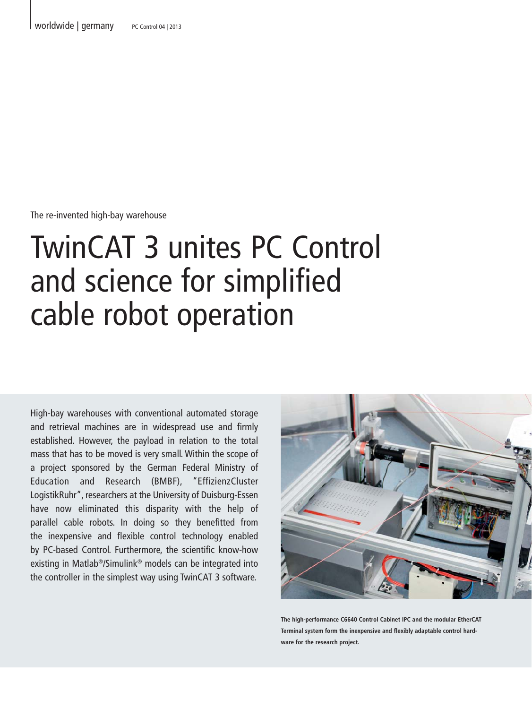The re-invented high-bay warehouse

# TwinCAT 3 unites PC Control and science for simplified cable robot operation

High-bay warehouses with conventional automated storage and retrieval machines are in widespread use and firmly established. However, the payload in relation to the total mass that has to be moved is very small. Within the scope of a project sponsored by the German Federal Ministry of Education and Research (BMBF), "EffizienzCluster LogistikRuhr", researchers at the University of Duisburg-Essen have now eliminated this disparity with the help of parallel cable robots. In doing so they benefitted from the inexpensive and flexible control technology enabled by PC-based Control. Furthermore, the scientific know-how existing in Matlab®/Simulink® models can be integrated into the controller in the simplest way using TwinCAT 3 software.



**The high-performance C6640 Control Cabinet IPC and the modular EtherCAT Terminal system form the inexpensive and flexibly adaptable control hardware for the research project.**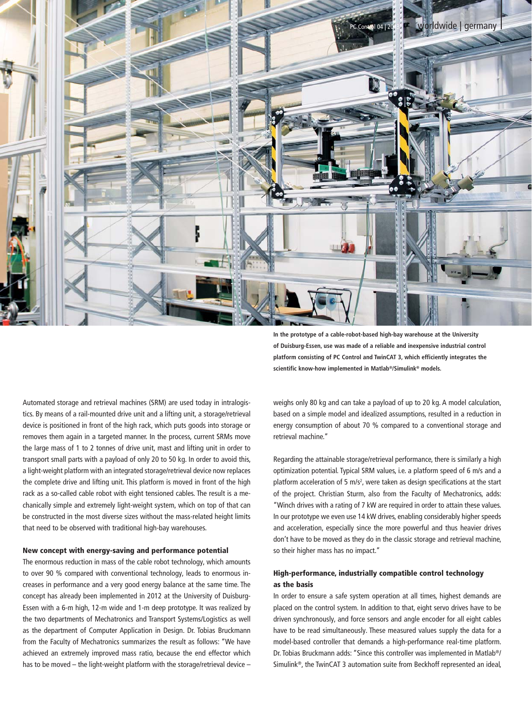

Automated storage and retrieval machines (SRM) are used today in intralogistics. By means of a rail-mounted drive unit and a lifting unit, a storage/retrieval device is positioned in front of the high rack, which puts goods into storage or removes them again in a targeted manner. In the process, current SRMs move the large mass of 1 to 2 tonnes of drive unit, mast and lifting unit in order to transport small parts with a payload of only 20 to 50 kg. In order to avoid this, a light-weight platform with an integrated storage/retrieval device now replaces the complete drive and lifting unit. This platform is moved in front of the high rack as a so-called cable robot with eight tensioned cables. The result is a mechanically simple and extremely light-weight system, which on top of that can be constructed in the most diverse sizes without the mass-related height limits that need to be observed with traditional high-bay warehouses.

### New concept with energy-saving and performance potential

The enormous reduction in mass of the cable robot technology, which amounts to over 90 % compared with conventional technology, leads to enormous increases in performance and a very good energy balance at the same time. The concept has already been implemented in 2012 at the University of Duisburg-Essen with a 6-m high, 12-m wide and 1-m deep prototype. It was realized by the two departments of Mechatronics and Transport Systems/Logistics as well as the department of Computer Application in Design. Dr. Tobias Bruckmann from the Faculty of Mechatronics summarizes the result as follows: "We have achieved an extremely improved mass ratio, because the end effector which has to be moved – the light-weight platform with the storage/retrieval device – **In the prototype of a cable-robot-based high-bay warehouse at the University of Duisburg-Essen, use was made of a reliable and inexpensive industrial control platform consisting of PC Control and TwinCAT 3, which efficiently integrates the scientific know-how implemented in Matlab®/Simulink® models.**

weighs only 80 kg and can take a payload of up to 20 kg. A model calculation, based on a simple model and idealized assumptions, resulted in a reduction in energy consumption of about 70 % compared to a conventional storage and retrieval machine."

Regarding the attainable storage/retrieval performance, there is similarly a high optimization potential. Typical SRM values, i.e. a platform speed of 6 m/s and a platform acceleration of 5  $m/s<sup>2</sup>$ , were taken as design specifications at the start of the project. Christian Sturm, also from the Faculty of Mechatronics, adds: "Winch drives with a rating of 7 kW are required in order to attain these values. In our prototype we even use 14 kW drives, enabling considerably higher speeds and acceleration, especially since the more powerful and thus heavier drives don't have to be moved as they do in the classic storage and retrieval machine, so their higher mass has no impact."

## High-performance, industrially compatible control technology as the basis

In order to ensure a safe system operation at all times, highest demands are placed on the control system. In addition to that, eight servo drives have to be driven synchronously, and force sensors and angle encoder for all eight cables have to be read simultaneously. These measured values supply the data for a model-based controller that demands a high-performance real-time platform. Dr. Tobias Bruckmann adds: "Since this controller was implemented in Matlab®/ Simulink®, the TwinCAT 3 automation suite from Beckhoff represented an ideal,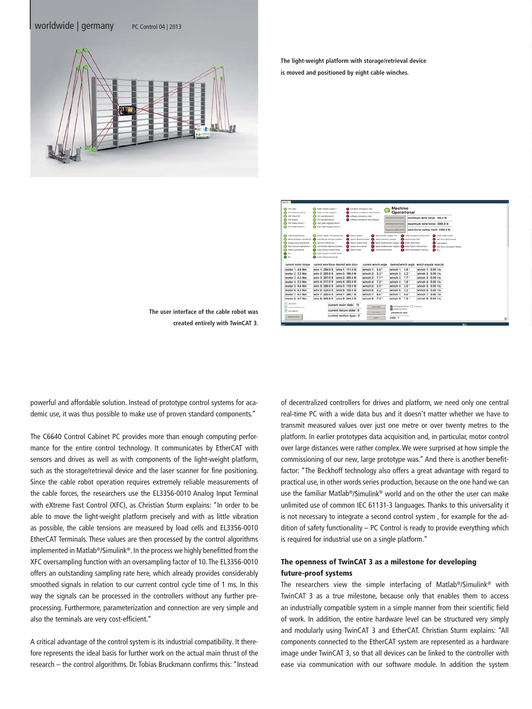#### worldwide | germany PC Control 04 | 2013



**The light-weight platform with storage/retrieval device is moved and positioned by eight cable winches.**



**The user interface of the cable robot was created entirely with TwinCAT 3.** 

powerful and affordable solution. Instead of prototype control systems for academic use, it was thus possible to make use of proven standard components."

The C6640 Control Cabinet PC provides more than enough computing performance for the entire control technology. It communicates by EtherCAT with sensors and drives as well as with components of the light-weight platform, such as the storage/retrieval device and the laser scanner for fine positioning. Since the cable robot operation requires extremely reliable measurements of the cable forces, the researchers use the EL3356-0010 Analog Input Terminal with eXtreme Fast Control (XFC), as Christian Sturm explains: "In order to be able to move the light-weight platform precisely and with as little vibration as possible, the cable tensions are measured by load cells and EL3356-0010 EtherCAT Terminals. These values are then processed by the control algorithms implemented in Matlab®/Simulink®. In the process we highly benefitted from the XFC oversampling function with an oversampling factor of 10. The EL3356-0010 offers an outstanding sampling rate here, which already provides considerably smoothed signals in relation to our current control cycle time of 1 ms. In this way the signals can be processed in the controllers without any further preprocessing. Furthermore, parameterization and connection are very simple and also the terminals are very cost-efficient."

A critical advantage of the control system is its industrial compatibility. It therefore represents the ideal basis for further work on the actual main thrust of the research – the control algorithms. Dr. Tobias Bruckmann confirms this: "Instead of decentralized controllers for drives and platform, we need only one central real-time PC with a wide data bus and it doesn't matter whether we have to transmit measured values over just one metre or over twenty metres to the platform. In earlier prototypes data acquisition and, in particular, motor control over large distances were rather complex. We were surprised at how simple the commissioning of our new, large prototype was." And there is another benefitfactor: "The Beckhoff technology also offers a great advantage with regard to practical use, in other words series production, because on the one hand we can use the familiar Matlab®/Simulink® world and on the other the user can make unlimited use of common IEC 61131-3 languages. Thanks to this universality it is not necessary to integrate a second control system , for example for the addition of safety functionality – PC Control is ready to provide everything which is required for industrial use on a single platform."

## The openness of TwinCAT 3 as a milestone for developing future-proof systems

The researchers view the simple interfacing of Matlab®/Simulink® with TwinCAT 3 as a true milestone, because only that enables them to access an industrially compatible system in a simple manner from their scientific field of work. In addition, the entire hardware level can be structured very simply and modularly using TwinCAT 3 and EtherCAT. Christian Sturm explains: "All components connected to the EtherCAT system are represented as a hardware image under TwinCAT 3, so that all devices can be linked to the controller with ease via communication with our software module. In addition the system